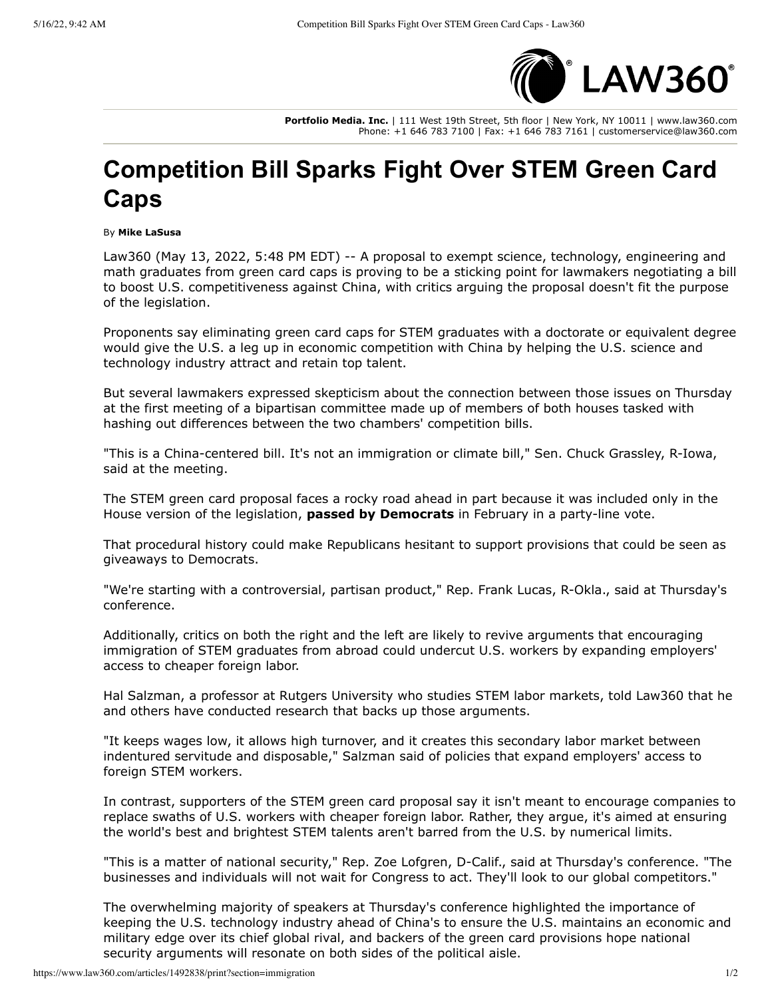

**Portfolio Media. Inc.** | 111 West 19th Street, 5th floor | New York, NY 10011 | www.law360.com Phone: +1 646 783 7100 | Fax: +1 646 783 7161 | customerservice@law360.com

## **Competition Bill Sparks Fight Over STEM Green Card Caps**

By **Mike LaSusa**

Law360 (May 13, 2022, 5:48 PM EDT) -- A proposal to exempt science, technology, engineering and math graduates from green card caps is proving to be a sticking point for lawmakers negotiating a bill to boost U.S. competitiveness against China, with critics arguing the proposal doesn't fit the purpose of the legislation.

Proponents say eliminating green card caps for STEM graduates with a doctorate or equivalent degree would give the U.S. a leg up in economic competition with China by helping the U.S. science and technology industry attract and retain top talent.

But several lawmakers expressed skepticism about the connection between those issues on Thursday at the first meeting of a bipartisan committee made up of members of both houses tasked with hashing out differences between the two chambers' competition bills.

"This is a China-centered bill. It's not an immigration or climate bill," Sen. Chuck Grassley, R-Iowa, said at the meeting.

The STEM green card proposal faces a rocky road ahead in part because it was included only in the House version of the legislation, **[passed by Democrats](https://www.law360.com/articles/1458924/house-passes-bill-to-bolster-competitiveness-with-china)** in February in a party-line vote.

That procedural history could make Republicans hesitant to support provisions that could be seen as giveaways to Democrats.

"We're starting with a controversial, partisan product," Rep. Frank Lucas, R-Okla., said at Thursday's conference.

Additionally, critics on both the right and the left are likely to revive arguments that encouraging immigration of STEM graduates from abroad could undercut U.S. workers by expanding employers' access to cheaper foreign labor.

Hal Salzman, a professor at Rutgers University who studies STEM labor markets, told Law360 that he and others have conducted research that backs up those arguments.

"It keeps wages low, it allows high turnover, and it creates this secondary labor market between indentured servitude and disposable," Salzman said of policies that expand employers' access to foreign STEM workers.

In contrast, supporters of the STEM green card proposal say it isn't meant to encourage companies to replace swaths of U.S. workers with cheaper foreign labor. Rather, they argue, it's aimed at ensuring the world's best and brightest STEM talents aren't barred from the U.S. by numerical limits.

"This is a matter of national security," Rep. Zoe Lofgren, D-Calif., said at Thursday's conference. "The businesses and individuals will not wait for Congress to act. They'll look to our global competitors."

The overwhelming majority of speakers at Thursday's conference highlighted the importance of keeping the U.S. technology industry ahead of China's to ensure the U.S. maintains an economic and military edge over its chief global rival, and backers of the green card provisions hope national security arguments will resonate on both sides of the political aisle.